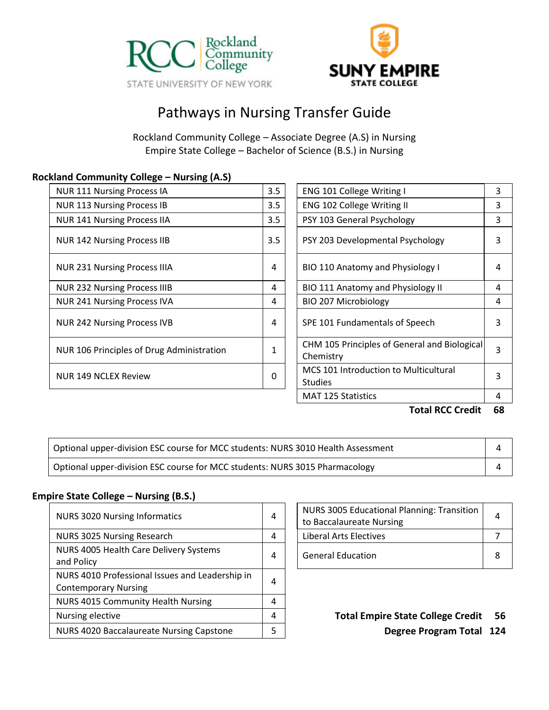



# Pathways in Nursing Transfer Guide

Rockland Community College – Associate Degree (A.S) in Nursing Empire State College – Bachelor of Science (B.S.) in Nursing

#### **Rockland Community College – Nursing (A.S)**

| <b>NUR 111 Nursing Process IA</b>         | 3.5 | ENG 101 College Writing I                                 | 3 |
|-------------------------------------------|-----|-----------------------------------------------------------|---|
| <b>NUR 113 Nursing Process IB</b>         | 3.5 | <b>ENG 102 College Writing II</b>                         | 3 |
| <b>NUR 141 Nursing Process IIA</b>        | 3.5 | PSY 103 General Psychology                                | 3 |
| <b>NUR 142 Nursing Process IIB</b>        | 3.5 | PSY 203 Developmental Psychology                          | 3 |
| <b>NUR 231 Nursing Process IIIA</b>       | 4   | BIO 110 Anatomy and Physiology I                          | 4 |
| <b>NUR 232 Nursing Process IIIB</b>       | 4   | BIO 111 Anatomy and Physiology II                         | 4 |
| <b>NUR 241 Nursing Process IVA</b>        | 4   | BIO 207 Microbiology                                      | 4 |
| <b>NUR 242 Nursing Process IVB</b>        | 4   | SPE 101 Fundamentals of Speech                            | 3 |
| NUR 106 Principles of Drug Administration |     | CHM 105 Principles of General and Biological<br>Chemistry | 3 |
| <b>NUR 149 NCLEX Review</b>               | 0   | MCS 101 Introduction to Multicultural<br><b>Studies</b>   | 3 |

| <b>ENG 101 College Writing I</b>                               | 3 |
|----------------------------------------------------------------|---|
| <b>ENG 102 College Writing II</b>                              |   |
| PSY 103 General Psychology                                     |   |
| PSY 203 Developmental Psychology                               | 3 |
| BIO 110 Anatomy and Physiology I                               | 4 |
| BIO 111 Anatomy and Physiology II                              | 4 |
| BIO 207 Microbiology                                           | 4 |
| SPE 101 Fundamentals of Speech                                 | 3 |
| CHM 105 Principles of General and Biological<br>Chemistry      | 3 |
| <b>MCS 101 Introduction to Multicultural</b><br><b>Studies</b> | 3 |
| <b>MAT 125 Statistics</b>                                      | 4 |

**Total RCC Credit 68**

| Optional upper-division ESC course for MCC students: NURS 3010 Health Assessment    |  |
|-------------------------------------------------------------------------------------|--|
| Optional upper-division ESC course for MCC students: NURS 3015 Pharmacology <a></a> |  |

## **Empire State College – Nursing (B.S.)**

| <b>NURS 3020 Nursing Informatics</b>                                           | 4 | <b>NURS 3005 Educational Planning: Transition</b><br>to Baccalaureate Nursing | 4    |
|--------------------------------------------------------------------------------|---|-------------------------------------------------------------------------------|------|
| NURS 3025 Nursing Research                                                     | 4 | <b>Liberal Arts Electives</b>                                                 |      |
| NURS 4005 Health Care Delivery Systems<br>and Policy                           | 4 | <b>General Education</b>                                                      | -8   |
| NURS 4010 Professional Issues and Leadership in<br><b>Contemporary Nursing</b> | 4 |                                                                               |      |
| <b>NURS 4015 Community Health Nursing</b>                                      | 4 |                                                                               |      |
| Nursing elective                                                               | 4 | <b>Total Empire State College Credit</b>                                      | - 5  |
| NURS 4020 Baccalaureate Nursing Capstone                                       | 5 | <b>Degree Program Total</b>                                                   | - 12 |

| NURS 3005 Educational Planning: Transition<br>to Baccalaureate Nursing |  |
|------------------------------------------------------------------------|--|
| Liberal Arts Electives                                                 |  |
| <b>General Education</b>                                               |  |

**Degree Program Total 124**